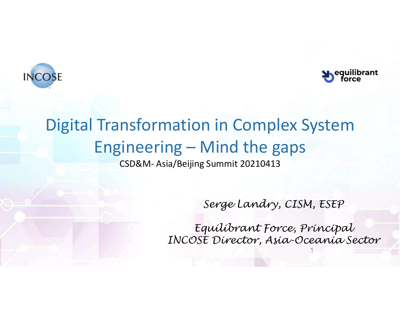



1

# Digital Transformation in Complex System Supering and the gaps CSD&M- Asia/Beijing Summit 20210413 Solution<br>
Solution in Complex System<br>
Solution 3 - Mind the gaps<br>
CSD&M- Asia/Beijing Summit 20210413

Serge Landry, CISM, ESEP

Equilibrant Force, Principal INCOSE Director, Asia-Oceania Sector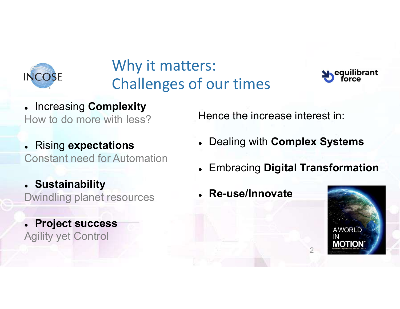

## Why it matters: Challenges of our times



- Increasing Complexity How to do more with less?
- . Rising expectations Constant need for Automation
- Sustainability Dwindling planet resources
- Project success Agility yet Control

Hence the increase interest in:

- Dealing with Complex Systems
- Embracing Digital Transformation
- Re-use/Innovate

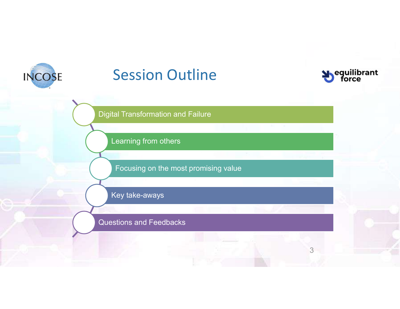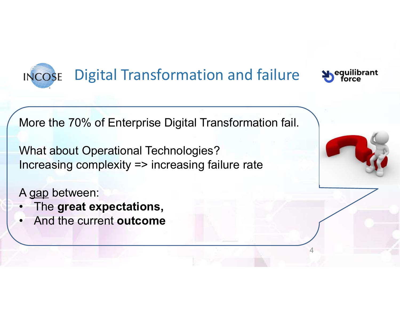# Digital Transformation and failure Supequilibrant

More the 70% of Enterprise Digital Transformation fail.

What about Operational Technologies? Increasing complexity => increasing failure rate INCOSE Digital Transformation<br>
More the 70% of Enterprise Digital Tra<br>
What about Operational Technologies?<br>
Increasing complexity => increasing fa<br>
A gap between:<br>
• The **great expectations**,<br>
• And the current **outcome** More the 70% of Enterprise Digital T<br>More the 70% of Enterprise Digital T<br>What about Operational Technologie<br>Increasing complexity => increasing<br>A gap between:<br>• The **great expectations**,<br>• And the current **outcome** More the 70% of Enterprise Digital<br>
What about Operational Technolog<br>
Increasing complexity => increasing<br>
A gap between:<br>
• The great expectations,<br>
• And the current outcome

- 
- 



4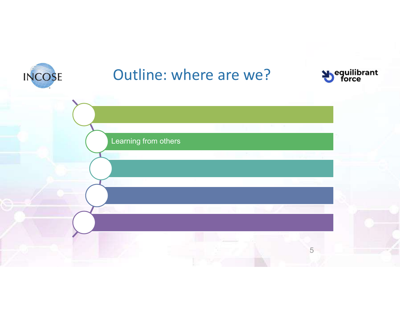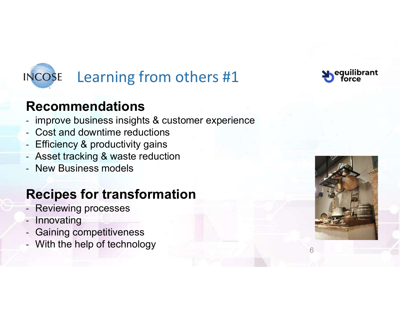

#### Recommendations

- improve business insights & customer experience
- Cost and downtime reductions
- Efficiency & productivity gains
- Asset tracking & waste reduction
- New Business models

#### Recipes for transformation

- Reviewing processes
- **Innovating**
- Gaining competitiveness
- With the help of technology



6

eauilibrant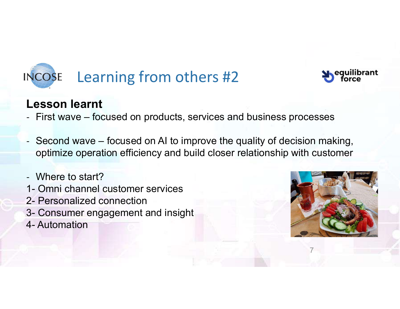



#### Lesson learnt

- 
- Example 2014<br>- Second wave focused on products, services and business processes<br>- Second wave focused on AI to improve the quality of decision making,<br>optimize operation efficiency and build closer relationship with cu optimize operation efficiency and build closer relationship with customer NCOSE Learning from others #2<br>
Lesson learnt<br>
- First wave – focused on products, services a<br>
- Second wave – focused on AI to improve the<br>
optimize operation efficiency and build closer<br>
- Where to start?<br>
1- Omni channel Lesson learnt<br>
- First wave – focused on products, services ar<br>
- Second wave – focused on AI to improve the<br>
optimize operation efficiency and build closer<br>
- Where to start?<br>
1- Omni channel customer services<br>
2- Persona **Lesson learnt**<br>- First wave – focused on products, ser<br>- Second wave – focused on AI to improptimize operation efficiency and builo<br>- Where to start?<br>1- Omni channel customer services<br>2- Personalized connection<br>3- Consume
- Where to start?
- 
- 
- 
- 



7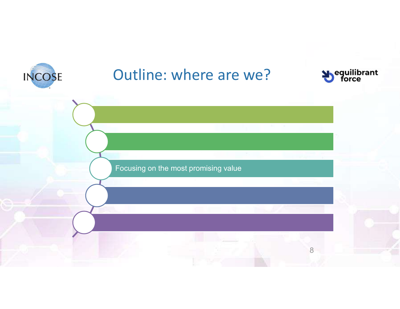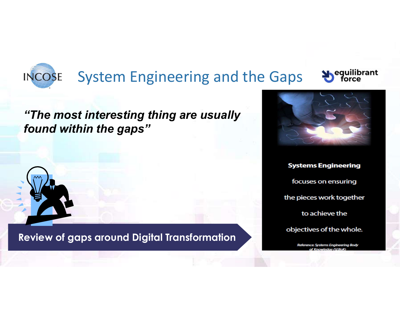#### **INCOSE** System Engineering and the Gaps  $\bullet$  Sequilibrant

#### "The most interesting thing are usually found within the gaps"



Review of gaps around Digital Transformation



**Systems Engineering** focuses on ensuring the pieces work together to achieve the objectives of the whole.

Reference: Systems Engineering Body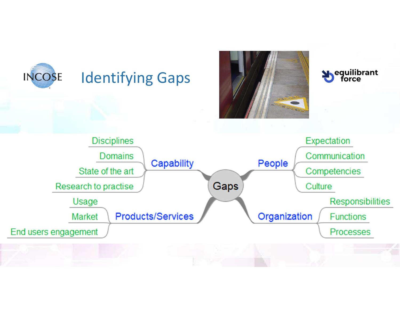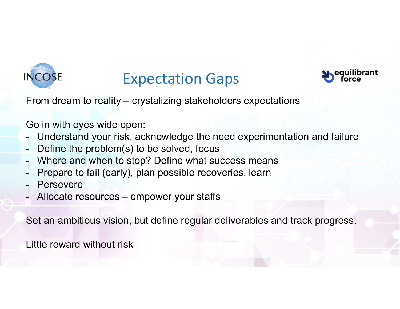

## Expectation Gaps



From dream to reality – crystalizing stakeholders expectations<br>
Go in with eyes wide open:<br>
Understand www.siple.com when the read constituent time and failure

Go in with eyes wide open:

- Understand your risk, acknowledge the need experimentation and failure Expectation Gaps<br>
From dream to reality – crystalizing stakeholders expectations<br>
Go in with eyes wide open:<br>
- Understand your risk, acknowledge the need experimentati<br>
- Define the problem(s) to be solved, focus<br>
- Where
- Define the problem(s) to be solved, focus
- Where and when to stop? Define what success means
- Prepare to fail (early), plan possible recoveries, learn
- **Persevere**
- 

Set an ambitious vision, but define regular deliverables and track progress.

Little reward without risk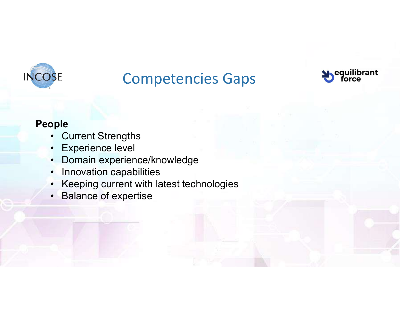

# Competencies Gaps SE<br>
Competencies (<br>
Primerical Strengths<br>
• Experience level<br>
• Domain experience/knowledge<br>
• Inconstitution experience/knowledge SE<br>
Competencies (<br>
Primerical Strengths<br>
Competence level<br>
Comain experience/knowledge<br>
Comain experience/knowledge<br>
Comain experience/knowledge<br>
Coming experience/knowledge



#### People

- 
- 
- 
- 
- **SE**<br> **Competencies Gaps**<br>  **Current Strengths<br>
 Experience level<br>
 Domain experience/knowledge<br>
 Innovation capabilities<br>
 Keeping current with latest technologies<br>
 Keeping current with latest technologies** SE Competencies Ga<br>
pple<br>
• Current Strengths<br>
• Experience level<br>
• Domain experience/knowledge<br>
• Innovation capabilities<br>
• Keeping current with latest technologies<br>
• Balance of expertise **SE**<br>
• Current Strengths<br>
• Experience level<br>
• Domain experience/knowledge<br>
• Innovation capabilities<br>
• Keeping current with latest technologies<br>
• Balance of expertise SE<br>
Competencies (<br> **•** Current Strengths<br>
• Experience level<br>
• Domain experience/knowledge<br>
• Innovation capabilities<br>
• Keeping current with latest technologi<br>
• Balance of expertise
-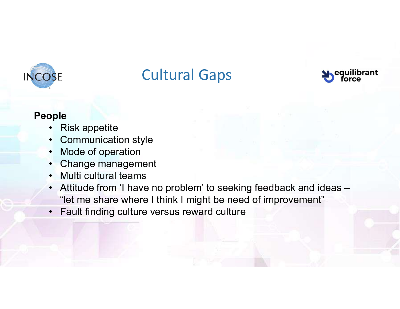

# Cultural Gaps **SE**<br> **Cultural Gap**<br> **Piple**<br> **Pipels**<br> **Communication style**<br> **Communication style**<br> **Chappels** SE<br>
Prope<br>
• Risk appetite<br>
• Communication style<br>
• Mode of operation<br>
• Change management<br>
• Multi sultural to see **SE**<br>
Cultural Gaps<br>
Prime Communication<br>
Communication<br>
Change management<br>
Change management<br>
Multi cultural teams<br>
Attitude from the present of the prime of the proof of the proof of the proof of the proof



#### People

- 
- 
- 
- 
- 
- SE<br>
Primes Cultural Gap<br>
Primes Communication<br>
 Communication<br>
 Mode of operation<br>
 Change management<br>
 Multi cultural teams<br>
 Attitude from 'I have no problem' to se **SE**<br> **Cultural Gap**<br> **Property:**<br> **Communication style**<br>
• Mode of operation<br>
• Change management<br>
• Multi cultural teams<br>
• Attitude from 'I have no problem' to see "let me share where I think I might be • Cultural Gaps<br>• Risk appetite<br>• Risk appetite<br>• Communication style<br>• Mode of operation<br>• Change management<br>• Multi cultural teams<br>• Attitude from 'I have no problem' to seeking feedback and ideas –<br>• Fault finding cultu "let me share where I think I might be need of improvement" • Risk appetite<br>• Communication style<br>• Mode of operation<br>• Change management<br>• Multi cultural teams<br>• Attitude from 'I have no problem' to seekin<br>• "let me share where I think I might be need<br>• Fault finding culture versu
-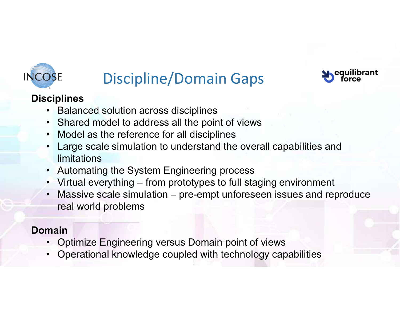

# Discipline/Domain Gaps POSE Discipline/Domain Gaps<br> **Ciplines**<br>
• Balanced solution across disciplines<br>
• Shared model to address all the point of views<br>
• Model as the reference for all disciplines



#### **Disciplines**

- 
- 
- 
- best<br> **Example 18 Allies Concidents**<br>
 Balanced solution across disciplines<br>
 Shared model to address all the point of views<br>
 Model as the reference for all disciplines<br>
 Large scale simulation to understand the overa **SE**<br>
Discipline/Domain Gaps<br>
ciplines<br>
• Balanced solution across disciplines<br>
• Shared model to address all the point of views<br>
• Model as the reference for all disciplines<br>
• Large scale simulation to understand the ove • Discipline/Domain Gaps<br>• Balanced solution across disciplines<br>• Balanced solution across disciplines<br>• Shared model to address all the point of views<br>• Model as the reference for all disciplines<br>• Large scale simulation limitations • Discipline/Domain Gaps<br>• Balanced solution across disciplines<br>• Shared model to address all the point of views<br>• Model as the reference for all disciplines<br>• Large scale simulation to understand the overall capabilities • Model as the reference for all disciplines<br>• Large scale simulation to understand the overall capabilities<br>• Large scale simulation to understand the overall capabilities<br>• Automating the System Engineering process<br>• Vir
- 
- 
- Discipline/Domain Gaps<br>• Balanced solution across disciplines<br>• Shared model to address all the point of views<br>• Model as the reference for all disciplines<br>• Large scale simulation to understand the overall capabilities • Discipline/Domain Gaps<br>• Balanced solution across disciplines<br>• Shared model to address all the point of views<br>• Model as the reference for all disciplines<br>• Large scale simulation to understand the overall capabilities real world problems • Shared model to address all the point of views<br>• Model as the reference for all disciplines<br>• Large scale simulation to understand the overall capabilities and<br>
• Mutomating the System Engineering process<br>
• Virtual ever

#### Domain

- 
-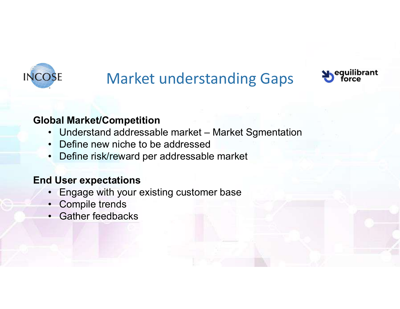

# Market understanding Gaps Dequilibrant • Market understanding Gaps<br>• Market/Competition<br>• Understand addressable market – Market Sgmentation<br>• Define new niche to be addressed<br>• Define risk/reward per addressable market **EXECUTE:**<br>
Market understanding Gaps<br>
bal Market/Competition<br>
• Understand addressable market – Market Sgmentatio<br>
• Define new niche to be addressable market<br>
• Define risk/reward per addressable market<br>
• Under sume add **986**<br>• Market understanding Gaps<br>• Understand addressable market – Market Sgmentati<br>• Define risk/reward per addressable market<br>• Define risk/reward per addressable market<br>• User expectations • Market understanding Gaps<br>• Understand addressable market – Market Sgmentation<br>• Define new niche to be addressed<br>• Define risk/reward per addressable market<br>• Engage with your existing customer base<br>• Compile trends<br>• G

#### Global Market/Competition

- 
- 
- 

#### End User expectations

- Market understan<br> **bal Market/Competition**<br>
 Understand addressable market Ma<br>
 Define new niche to be addressed<br>
 Define risk/reward per addressable m<br> **d User expectations**<br>
 Engage with your existing customer b<br>
 **bal Market/Competition**<br>
• Understand addressable market – Ma<br>
• Define new niche to be addressable m<br>
• Define risk/reward per addressable m<br> **d User expectations**<br>
• Engage with your existing customer b<br>
• Compile trend
- 
-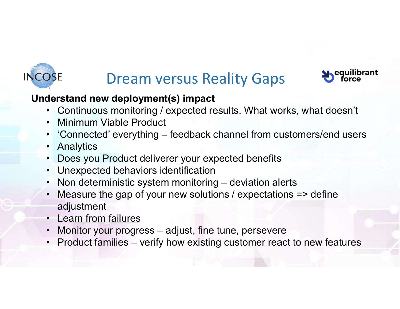

# Dream versus Reality Gaps **D**equilibrant



#### Understand new deployment(s) impact

- 
- 
- **SE**<br>• Continuous monitoring / expected results. What works, what doesn't<br>• Continuous monitoring / expected results. What works, what doesn't<br>• Connected' everything feedback channel from customers/end users **SENGET SERVIS DESCREE SERVIS DESCREE**<br> **CONTINUME PRODUCE PRODUCE PRODUCE PRODUCE PRODUCE PRODUCT**<br> **• Connected' everything – feedback ch**<br>
• Analytics • Dream versus Reality Gaps<br>• Continuous monitoring / expected results. What works, what doesn't<br>• Continuous monitoring / expected results. What works, what doesn't<br>• Connected' everything – feedback channel from customer SE Dream versus Readerstand new deployment(s) impact<br>• Continuous monitoring / expected res<br>• Minimum Viable Product<br>• 'Connected' everything – feedback ch<br>• Analytics<br>• Does you Product deliverer your expe<br>• Unexpected be FREE PRESS SERVIET DREAD VERSUS Reality Gaps<br>
SERVIET DREAD VERSUS Reality Gaps<br>
• Continuous monitoring / expected results. What works, what doesn't<br>
• Minimum Viable Product<br>
• Connected' everything – feedback channel fr
- 
- 
- 
- 
- **SE Dream versus Reality Gaps**<br> **derstand new deployment(s) impact**<br>
 Continuous monitoring / expected results. What works,<br>
 Minimum Viable Product<br>
 Connected' everything feedback channel from custon<br>
 Analytics<br>
 **Example 19 Non-Example 19 Non-Example 19 Non-Example 19 Non-Example 19 Non-Example 19 Non-Example 19 Non-Example 19 Non-Example 19 Non-Example 19 Non-Example 19 Non-Example 19 Non-Example 19 Non-Example 19 Non-Example 19 • Measure the gap of your new solutions / expectations / expected results.** What works, what doesn't<br>
• Minimum Viable Product<br>
• Minimum Viable Product<br>
• Connected' everything – feedback channel from customers/end users adjustment derstand new deployment(s) impact<br>
• Continuous monitoring / expected res<br>
• Minimum Viable Product<br>
• 'Connected' everything – feedback ch<br>
• Analytics<br>
• Does you Product deliverer your expe<br>
• Unexpected behaviors ident • Continuous monitoring / expected results. What works, what doesn't<br>• Minimum Viable Product<br>• 'Connected' everything – feedback channel from customers/end users<br>• Analytics<br>• Does you Product deliverer your expected bene • Minimum Viable Product<br>• Connected' everything – feedback channel from customers/end user<br>• Analytics<br>• Does you Product deliverer your expected benefits<br>• Unexpected behaviors identification<br>• Non deterministic system m
- 
- 
-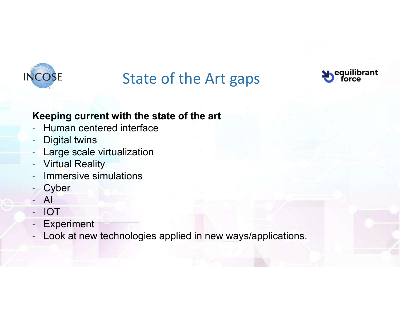

## State of the Art gaps



#### Keeping current with the state of the art

- Human centered interface
- Digital twins
- Large scale virtualization
- Virtual Reality
- Immersive simulations
- **Cyber**
- AI
- IOT
- **Experiment**
- Look at new technologies applied in new ways/applications.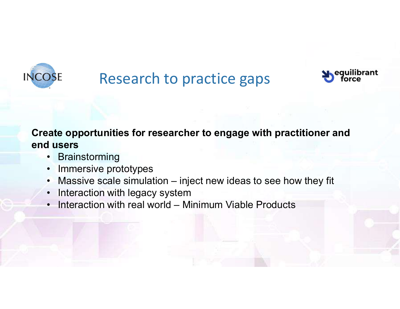

## Research to practice gaps



# Create opportunities for researcher to engage with practitioner and end users SE Research to practic<br>
Research to practic<br>
Researcher to er<br>
Husers<br>
• Brainstorming<br>
• Immersive prototypes<br>
• Massive scale simulation – inject new SE Research to practice<br>
eate opportunities for researcher to eng<br>
dusers<br>
• Brainstorming<br>
• Immersive prototypes<br>
• Massive scale simulation – inject new is<br>
• Interaction with legacy system • Research to practice gaps<br>• Massive scale opportunities for researcher to engage with practitioner and<br>• Brainstorming<br>• Immersive prototypes<br>• Massive scale simulation – inject new ideas to see how they fit<br>• Interactio • Research to practice gaps<br>
• Research to engage with practition<br>
• Interaction<br>
• Interaction with legacy system<br>
• Interaction with legacy system<br>
• Interaction with real world – Minimum Viable Products POSE Research to practice gaps<br>
external where the engage with practitioner and<br>
dusers<br>
• Brainstorming<br>
• Immersive prototypes<br>
• Massive scale simulation – inject new ideas to see how they fit<br>
• Interaction with legacy

- 
- 
- 
- 
-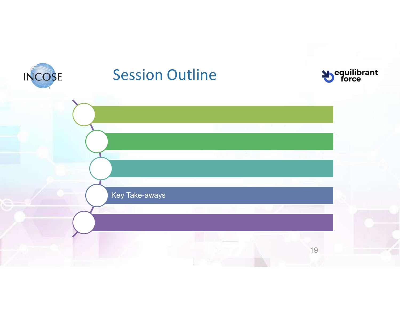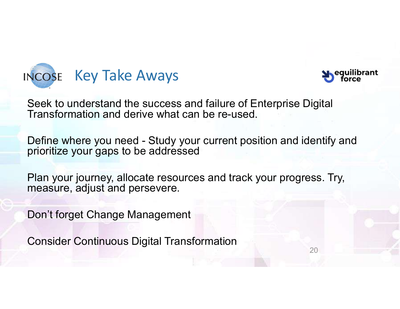



Seek to understand the success and failure of Enterprise Digital Transformation and derive what can be re-used.

NCOSE Key Take Aways<br>
Seek to understand the success and failure of Enterprise Digital<br>
Transformation and derive what can be re-used.<br>
Define where you need - Study your current position and identify and<br>
prioritize your prioritize your gaps to be addressed

Plan your journey, allocate resources and track your progress. Try, measure, adjust and persevere.

Don't forget Change Management

Consider Continuous Digital Transformation

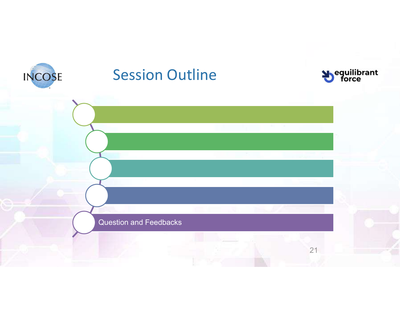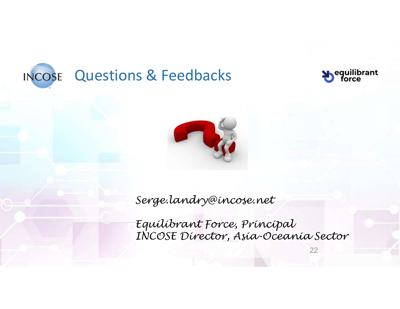





Serge.landry@incose.net

Equilibrant Force, Principal INCOSE Director, Asia-Oceania Sector

22